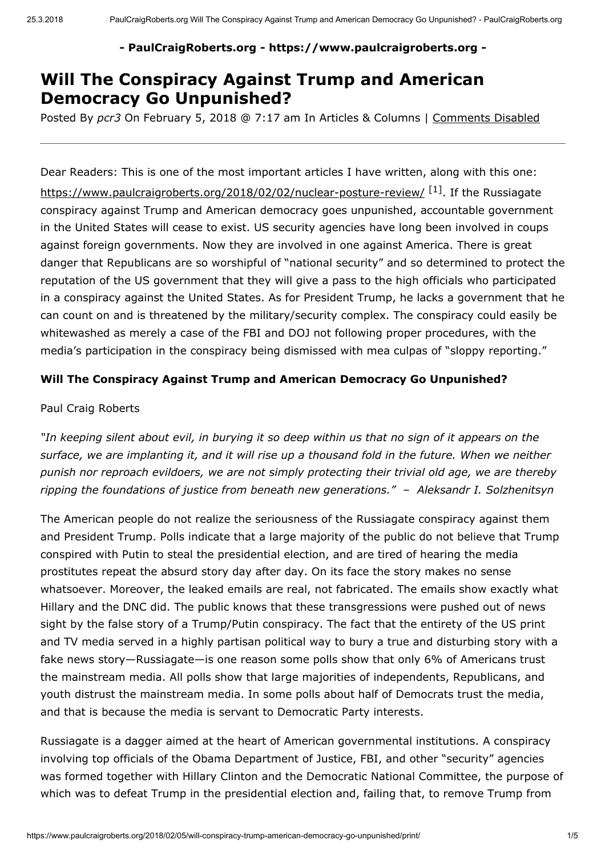### - PaulCraigRoberts.org - https://www.paulcraigroberts.org -

# Will The Conspiracy Against Trump and American Democracy Go Unpunished?

Posted By pcr3 On February 5, 2018 @ 7:17 am In Articles & Columns | Comments Disabled

Dear Readers: This is one of the most important articles I have written, along with this one: <https://www.paulcraigroberts.org/2018/02/02/nuclear-posture-review/> [1]. If the Russiagate conspiracy against Trump and American democracy goes unpunished, accountable government in the United States will cease to exist. US security agencies have long been involved in coups against foreign governments. Now they are involved in one against America. There is great danger that Republicans are so worshipful of "national security" and so determined to protect the reputation of the US government that they will give a pass to the high officials who participated in a conspiracy against the United States. As for President Trump, he lacks a government that he can count on and is threatened by the military/security complex. The conspiracy could easily be whitewashed as merely a case of the FBI and DOJ not following proper procedures, with the media's participation in the conspiracy being dismissed with mea culpas of "sloppy reporting."

#### Will The Conspiracy Against Trump and American Democracy Go Unpunished?

#### Paul Craig Roberts

"In keeping silent about evil, in burying it so deep within us that no sign of it appears on the surface, we are implanting it, and it will rise up a thousand fold in the future. When we neither punish nor reproach evildoers, we are not simply protecting their trivial old age, we are thereby ripping the foundations of justice from beneath new generations." – Aleksandr I. Solzhenitsyn

The American people do not realize the seriousness of the Russiagate conspiracy against them and President Trump. Polls indicate that a large majority of the public do not believe that Trump conspired with Putin to steal the presidential election, and are tired of hearing the media prostitutes repeat the absurd story day after day. On its face the story makes no sense whatsoever. Moreover, the leaked emails are real, not fabricated. The emails show exactly what Hillary and the DNC did. The public knows that these transgressions were pushed out of news sight by the false story of a Trump/Putin conspiracy. The fact that the entirety of the US print and TV media served in a highly partisan political way to bury a true and disturbing story with a fake news story—Russiagate—is one reason some polls show that only 6% of Americans trust the mainstream media. All polls show that large majorities of independents, Republicans, and youth distrust the mainstream media. In some polls about half of Democrats trust the media, and that is because the media is servant to Democratic Party interests.

Russiagate is a dagger aimed at the heart of American governmental institutions. A conspiracy involving top officials of the Obama Department of Justice, FBI, and other "security" agencies was formed together with Hillary Clinton and the Democratic National Committee, the purpose of which was to defeat Trump in the presidential election and, failing that, to remove Trump from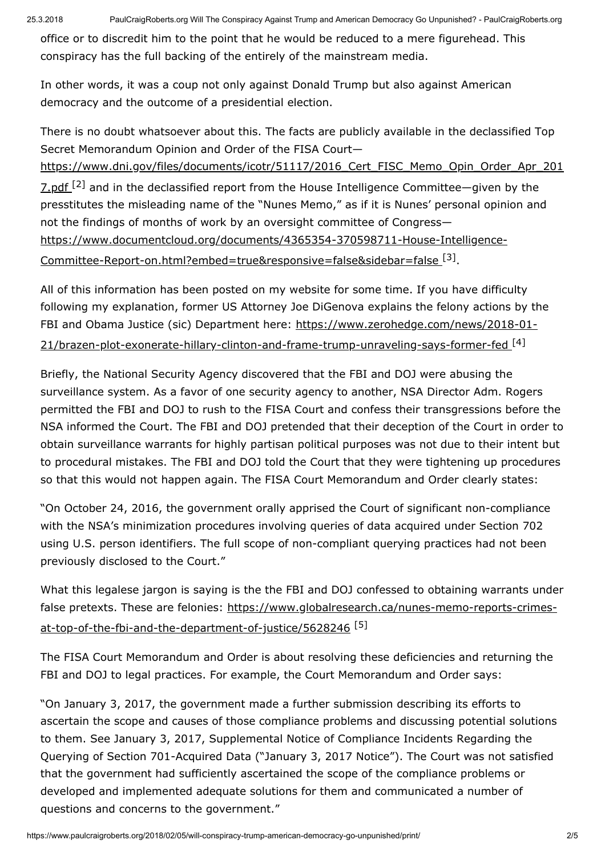office or to discredit him to the point that he would be reduced to a mere figurehead. This conspiracy has the full backing of the entirely of the mainstream media.

In other words, it was a coup not only against Donald Trump but also against American democracy and the outcome of a presidential election.

There is no doubt whatsoever about this. The facts are publicly available in the declassified Top Secret Memorandum Opinion and Order of the FISA Court—

https://www.dni.gov/files/documents/icotr/51117/2016 Cert\_FISC\_Memo\_Opin\_Order\_Apr\_201 7.pdf<sup>[2]</sup> and in the declassified report from the House Intelligence Committee—given by the presstitutes the misleading name of the "Nunes Memo," as if it is Nunes' personal opinion and not the findings of months of work by an oversight committee of Congress [https://www.documentcloud.org/documents/4365354-370598711-House-Intelligence-](https://www.documentcloud.org/documents/4365354-370598711-House-Intelligence-Committee-Report-on.html?embed=true&responsive=false&sidebar=false)Committee-Report-on.html?embed=true&responsive=false&sidebar=false<sup>[3]</sup>.

All of this information has been posted on my website for some time. If you have difficulty following my explanation, former US Attorney Joe DiGenova explains the felony actions by the [FBI and Obama Justice \(sic\) Department here: https://www.zerohedge.com/news/2018-01-](https://www.zerohedge.com/news/2018-01-21/brazen-plot-exonerate-hillary-clinton-and-frame-trump-unraveling-says-former-fed) 21/brazen-plot-exonerate-hillary-clinton-and-frame-trump-unraveling-says-former-fed [4]

Briefly, the National Security Agency discovered that the FBI and DOJ were abusing the surveillance system. As a favor of one security agency to another, NSA Director Adm. Rogers permitted the FBI and DOJ to rush to the FISA Court and confess their transgressions before the NSA informed the Court. The FBI and DOJ pretended that their deception of the Court in order to obtain surveillance warrants for highly partisan political purposes was not due to their intent but to procedural mistakes. The FBI and DOJ told the Court that they were tightening up procedures so that this would not happen again. The FISA Court Memorandum and Order clearly states:

"On October 24, 2016, the government orally apprised the Court of significant non-compliance with the NSA's minimization procedures involving queries of data acquired under Section 702 using U.S. person identifiers. The full scope of non-compliant querying practices had not been previously disclosed to the Court."

What this legalese jargon is saying is the the FBI and DOJ confessed to obtaining warrants under [false pretexts. These are felonies: https://www.globalresearch.ca/nunes-memo-reports-crimes](https://www.globalresearch.ca/nunes-memo-reports-crimes-at-top-of-the-fbi-and-the-department-of-justice/5628246)at-top-of-the-fbi-and-the-department-of-justice/5628246 [5]

The FISA Court Memorandum and Order is about resolving these deficiencies and returning the FBI and DOJ to legal practices. For example, the Court Memorandum and Order says:

"On January 3, 2017, the government made a further submission describing its efforts to ascertain the scope and causes of those compliance problems and discussing potential solutions to them. See January 3, 2017, Supplemental Notice of Compliance Incidents Regarding the Querying of Section 701-Acquired Data ("January 3, 2017 Notice"). The Court was not satisfied that the government had sufficiently ascertained the scope of the compliance problems or developed and implemented adequate solutions for them and communicated a number of questions and concerns to the government."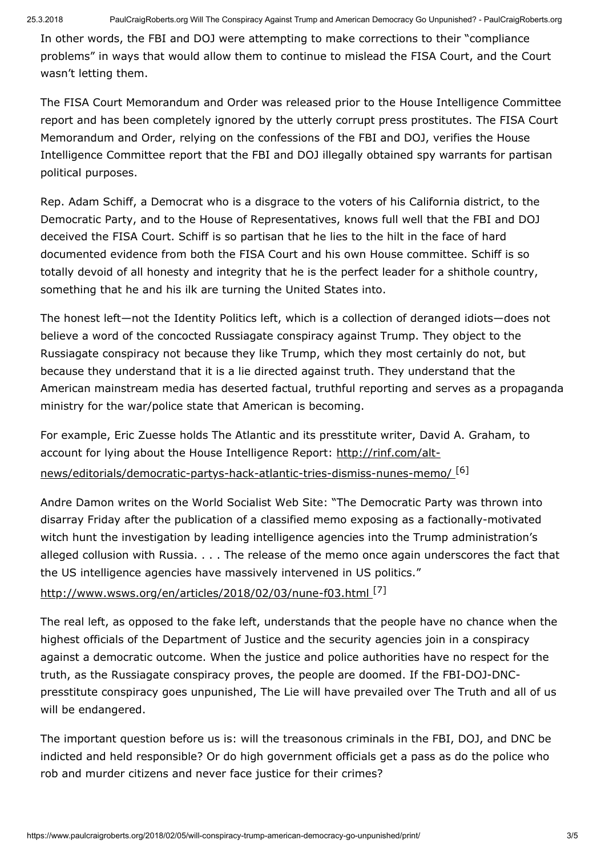In other words, the FBI and DOJ were attempting to make corrections to their "compliance problems" in ways that would allow them to continue to mislead the FISA Court, and the Court wasn't letting them.

The FISA Court Memorandum and Order was released prior to the House Intelligence Committee report and has been completely ignored by the utterly corrupt press prostitutes. The FISA Court Memorandum and Order, relying on the confessions of the FBI and DOJ, verifies the House Intelligence Committee report that the FBI and DOJ illegally obtained spy warrants for partisan political purposes.

Rep. Adam Schiff, a Democrat who is a disgrace to the voters of his California district, to the Democratic Party, and to the House of Representatives, knows full well that the FBI and DOJ deceived the FISA Court. Schiff is so partisan that he lies to the hilt in the face of hard documented evidence from both the FISA Court and his own House committee. Schiff is so totally devoid of all honesty and integrity that he is the perfect leader for a shithole country, something that he and his ilk are turning the United States into.

The honest left—not the Identity Politics left, which is a collection of deranged idiots—does not believe a word of the concocted Russiagate conspiracy against Trump. They object to the Russiagate conspiracy not because they like Trump, which they most certainly do not, but because they understand that it is a lie directed against truth. They understand that the American mainstream media has deserted factual, truthful reporting and serves as a propaganda ministry for the war/police state that American is becoming.

For example, Eric Zuesse holds The Atlantic and its presstitute writer, David A. Graham, to account for lying about the House Intelligence Report: http://rinf.com/alt[news/editorials/democratic-partys-hack-atlantic-tries-dismiss-nunes-memo/](http://rinf.com/alt-news/editorials/democratic-partys-hack-atlantic-tries-dismiss-nunes-memo/) [6]

Andre Damon writes on the World Socialist Web Site: "The Democratic Party was thrown into disarray Friday after the publication of a classified memo exposing as a factionally-motivated witch hunt the investigation by leading intelligence agencies into the Trump administration's alleged collusion with Russia. . . . The release of the memo once again underscores the fact that the US intelligence agencies have massively intervened in US politics."

# http://www.wsws.org/en/articles/2018/02/03/nune-f03.html<sup>[7]</sup>

The real left, as opposed to the fake left, understands that the people have no chance when the highest officials of the Department of Justice and the security agencies join in a conspiracy against a democratic outcome. When the justice and police authorities have no respect for the truth, as the Russiagate conspiracy proves, the people are doomed. If the FBI-DOJ-DNCpresstitute conspiracy goes unpunished, The Lie will have prevailed over The Truth and all of us will be endangered.

The important question before us is: will the treasonous criminals in the FBI, DOJ, and DNC be indicted and held responsible? Or do high government officials get a pass as do the police who rob and murder citizens and never face justice for their crimes?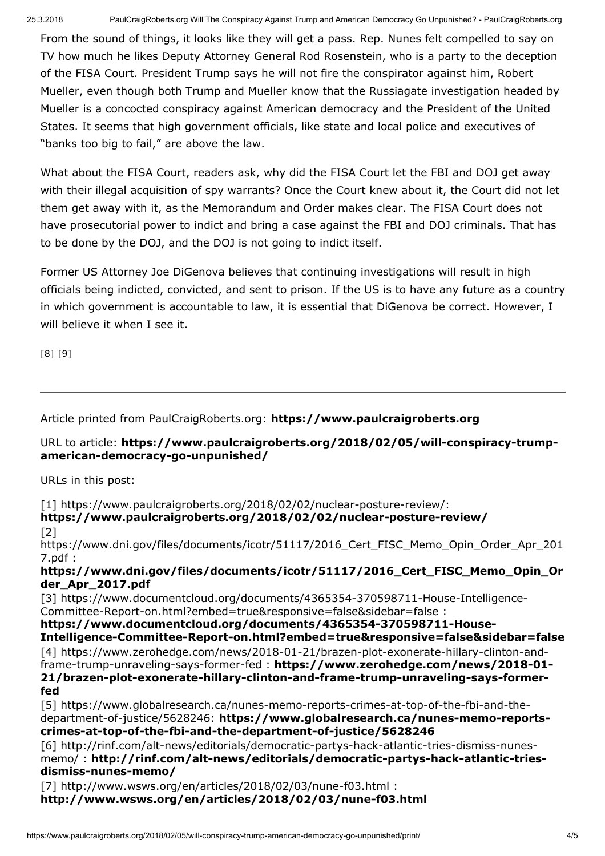From the sound of things, it looks like they will get a pass. Rep. Nunes felt compelled to say on TV how much he likes Deputy Attorney General Rod Rosenstein, who is a party to the deception of the FISA Court. President Trump says he will not fire the conspirator against him, Robert Mueller, even though both Trump and Mueller know that the Russiagate investigation headed by Mueller is a concocted conspiracy against American democracy and the President of the United States. It seems that high government officials, like state and local police and executives of "banks too big to fail," are above the law.

What about the FISA Court, readers ask, why did the FISA Court let the FBI and DOJ get away with their illegal acquisition of spy warrants? Once the Court knew about it, the Court did not let them get away with it, as the Memorandum and Order makes clear. The FISA Court does not have prosecutorial power to indict and bring a case against the FBI and DOJ criminals. That has to be done by the DOJ, and the DOJ is not going to indict itself.

Former US Attorney Joe DiGenova believes that continuing investigations will result in high officials being indicted, convicted, and sent to prison. If the US is to have any future as a country in which government is accountable to law, it is essential that DiGenova be correct. However, I will believe it when I see it.

[8] [9]

Article printed from PaulCraigRoberts.org: https://www.paulcraigroberts.org

## URL to article: https://www.paulcraigroberts.org/2018/02/05/will-conspiracy-trumpamerican-democracy-go-unpunished/

URLs in this post:

[1] https://www.paulcraigroberts.org/2018/02/02/nuclear-posture-review/: https://www.paulcraigroberts.org/2018/02/02/nuclear-posture-review/ [2] https://www.dni.gov/files/documents/icotr/51117/2016\_Cert\_FISC\_Memo\_Opin\_Order\_Apr\_201 7.pdf : https://www.dni.gov/files/documents/icotr/51117/2016\_Cert\_FISC\_Memo\_Opin\_Or der\_Apr\_2017.pdf [3] https://www.documentcloud.org/documents/4365354-370598711-House-Intelligence-Committee-Report-on.html?embed=true&responsive=false&sidebar=false : https://www.documentcloud.org/documents/4365354-370598711-House-Intelligence-Committee-Report-on.html?embed=true&responsive=false&sidebar=false [4] https://www.zerohedge.com/news/2018-01-21/brazen-plot-exonerate-hillary-clinton-andframe-trump-unraveling-says-former-fed : https://www.zerohedge.com/news/2018-01- 21/brazen-plot-exonerate-hillary-clinton-and-frame-trump-unraveling-says-formerfed [5] https://www.globalresearch.ca/nunes-memo-reports-crimes-at-top-of-the-fbi-and-thedepartment-of-justice/5628246: https://www.globalresearch.ca/nunes-memo-reportscrimes-at-top-of-the-fbi-and-the-department-of-justice/5628246

[6] http://rinf.com/alt-news/editorials/democratic-partys-hack-atlantic-tries-dismiss-nunesmemo/ : http://rinf.com/alt-news/editorials/democratic-partys-hack-atlantic-triesdismiss-nunes-memo/

[7] http://www.wsws.org/en/articles/2018/02/03/nune-f03.html : http://www.wsws.org/en/articles/2018/02/03/nune-f03.html